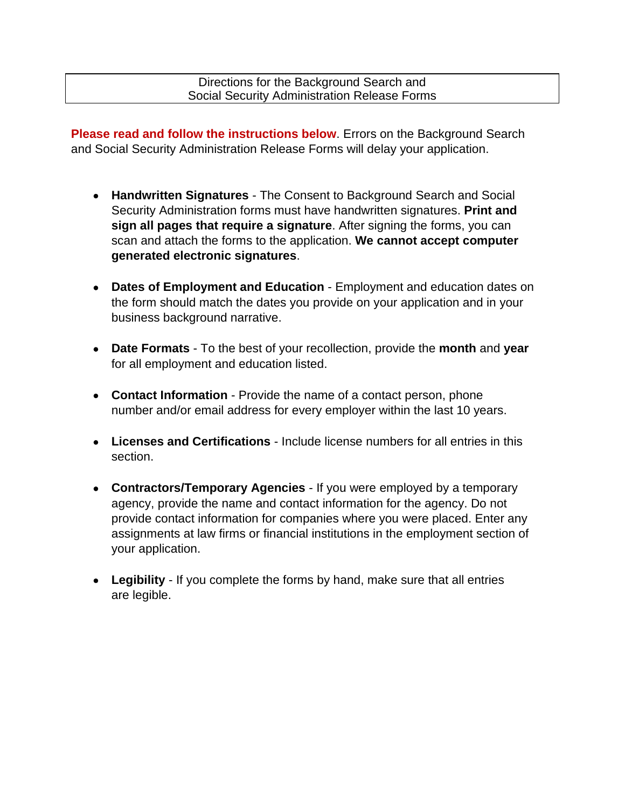Directions for the Background Search and Social Security Administration Release Forms

**Please read and follow the instructions below**. Errors on the Background Search and Social Security Administration Release Forms will delay your application.

- **Handwritten Signatures**  The Consent to Background Search and Social Security Administration forms must have handwritten signatures. **Print and sign all pages that require a signature**. After signing the forms, you can scan and attach the forms to the application. **We cannot accept computer generated electronic signatures**.
- **Dates of Employment and Education**  Employment and education dates on the form should match the dates you provide on your application and in your business background narrative.
- **Date Formats**  To the best of your recollection, provide the **month** and **year**  for all employment and education listed.
- **Contact Information** Provide the name of a contact person, phone number and/or email address for every employer within the last 10 years.
- **Licenses and Certifications**  Include license numbers for all entries in this section.
- **Contractors/Temporary Agencies**  If you were employed by a temporary agency, provide the name and contact information for the agency. Do not provide contact information for companies where you were placed. Enter any assignments at law firms or financial institutions in the employment section of your application.
- **Legibility**  If you complete the forms by hand, make sure that all entries are legible.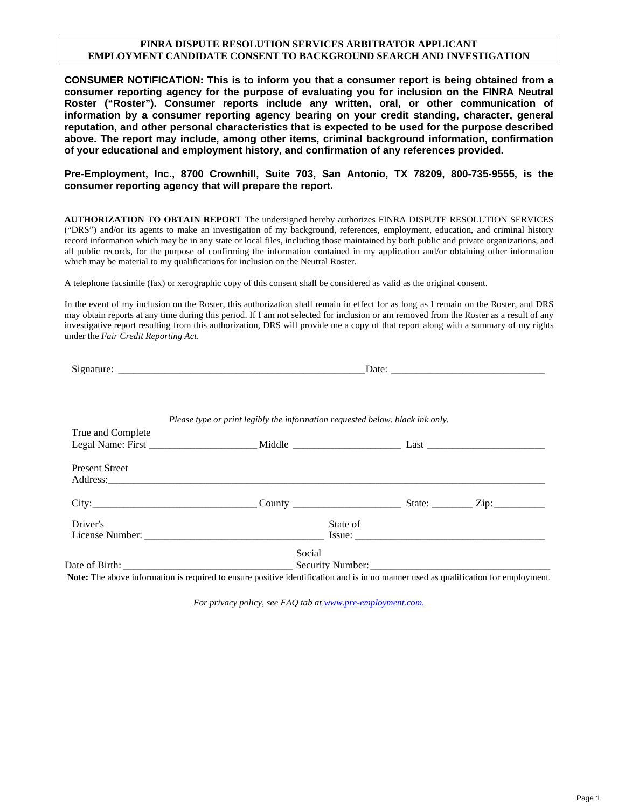## **FINRA DISPUTE RESOLUTION SERVICES ARBITRATOR APPLICANT EMPLOYMENT CANDIDATE CONSENT TO BACKGROUND SEARCH AND INVESTIGATION**

**CONSUMER NOTIFICATION: This is to inform you that a consumer report is being obtained from a consumer reporting agency for the purpose of evaluating you for inclusion on the FINRA Neutral Roster ("Roster"). Consumer reports include any written, oral, or other communication of information by a consumer reporting agency bearing on your credit standing, character, general reputation, and other personal characteristics that is expected to be used for the purpose described above. The report may include, among other items, criminal background information, confirmation of your educational and employment history, and confirmation of any references provided.** 

**Pre-Employment, Inc., 8700 Crownhill, Suite 703, San Antonio, TX 78209, 800-735-9555, is the consumer reporting agency that will prepare the report.** 

**AUTHORIZATION TO OBTAIN REPORT** The undersigned hereby authorizes FINRA DISPUTE RESOLUTION SERVICES ("DRS") and/or its agents to make an investigation of my background, references, employment, education, and criminal history record information which may be in any state or local files, including those maintained by both public and private organizations, and all public records, for the purpose of confirming the information contained in my application and/or obtaining other information which may be material to my qualifications for inclusion on the Neutral Roster.

A telephone facsimile (fax) or xerographic copy of this consent shall be considered as valid as the original consent.

In the event of my inclusion on the Roster, this authorization shall remain in effect for as long as I remain on the Roster, and DRS may obtain reports at any time during this period. If I am not selected for inclusion or am removed from the Roster as a result of any investigative report resulting from this authorization, DRS will provide me a copy of that report along with a summary of my rights under the *Fair Credit Reporting Act*.

|                       | Date: $\frac{1}{2}$                                                           |                                                                                                                                                                                                                                |  |
|-----------------------|-------------------------------------------------------------------------------|--------------------------------------------------------------------------------------------------------------------------------------------------------------------------------------------------------------------------------|--|
|                       | Please type or print legibly the information requested below, black ink only. |                                                                                                                                                                                                                                |  |
| True and Complete     |                                                                               |                                                                                                                                                                                                                                |  |
|                       |                                                                               |                                                                                                                                                                                                                                |  |
| <b>Present Street</b> |                                                                               | Address: Andreas Address: Address: Address: Address: Address: Address: Address: Address: Address: Address: Address: Address: Address: Address: Address: Address: Address: Address: Address: Address: Address: Address: Address |  |
|                       |                                                                               |                                                                                                                                                                                                                                |  |
| Driver's              |                                                                               | State of                                                                                                                                                                                                                       |  |
|                       |                                                                               |                                                                                                                                                                                                                                |  |
|                       | Social                                                                        |                                                                                                                                                                                                                                |  |
|                       |                                                                               |                                                                                                                                                                                                                                |  |

**Note:** The above information is required to ensure positive identification and is in no manner used as qualification for employment.

*For privacy policy, see FAQ tab at www.pre-employment.com.*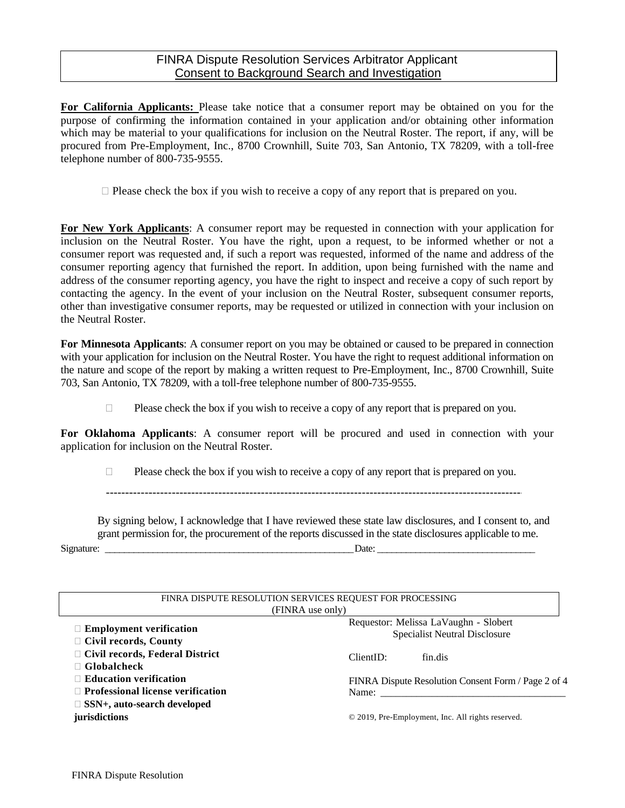**For California Applicants:** Please take notice that a consumer report may be obtained on you for the purpose of confirming the information contained in your application and/or obtaining other information which may be material to your qualifications for inclusion on the Neutral Roster. The report, if any, will be procured from Pre-Employment, Inc., 8700 Crownhill, Suite 703, San Antonio, TX 78209, with a toll-free telephone number of 800-735-9555.

 $\Box$  Please check the box if you wish to receive a copy of any report that is prepared on you.

**For New York Applicants**: A consumer report may be requested in connection with your application for inclusion on the Neutral Roster. You have the right, upon a request, to be informed whether or not a consumer report was requested and, if such a report was requested, informed of the name and address of the consumer reporting agency that furnished the report. In addition, upon being furnished with the name and address of the consumer reporting agency, you have the right to inspect and receive a copy of such report by contacting the agency. In the event of your inclusion on the Neutral Roster, subsequent consumer reports, other than investigative consumer reports, may be requested or utilized in connection with your inclusion on the Neutral Roster.

**For Minnesota Applicants**: A consumer report on you may be obtained or caused to be prepared in connection with your application for inclusion on the Neutral Roster. You have the right to request additional information on the nature and scope of the report by making a written request to Pre-Employment, Inc., 8700 Crownhill, Suite 703, San Antonio, TX 78209, with a toll-free telephone number of 800-735-9555.

 $\Box$  Please check the box if you wish to receive a copy of any report that is prepared on you.

**For Oklahoma Applicants**: A consumer report will be procured and used in connection with your application for inclusion on the Neutral Roster.

 $\Box$  Please check the box if you wish to receive a copy of any report that is prepared on you.

By signing below, I acknowledge that I have reviewed these state law disclosures, and I consent to, and grant permission for, the procurement of the reports discussed in the state disclosures applicable to me. Signature: \_\_\_\_\_\_\_\_\_\_\_\_\_\_\_\_\_\_\_\_\_\_\_\_\_\_\_\_\_\_\_\_\_\_\_\_\_\_\_\_\_\_\_\_\_\_\_\_\_\_\_\_ Date: \_\_\_\_\_\_\_\_\_\_\_\_\_\_\_\_\_\_\_\_\_\_\_\_\_\_\_\_\_\_\_\_\_

| FINRA DISPUTE RESOLUTION SERVICES REQUEST FOR PROCESSING |                                                                                                                                                                                                                                                                                                                                                                                                                        |  |  |  |  |
|----------------------------------------------------------|------------------------------------------------------------------------------------------------------------------------------------------------------------------------------------------------------------------------------------------------------------------------------------------------------------------------------------------------------------------------------------------------------------------------|--|--|--|--|
| (FINRA use only)                                         |                                                                                                                                                                                                                                                                                                                                                                                                                        |  |  |  |  |
|                                                          | Requestor: Melissa LaVaughn - Slobert                                                                                                                                                                                                                                                                                                                                                                                  |  |  |  |  |
| $\Box$ Employment verification                           | <b>Specialist Neutral Disclosure</b>                                                                                                                                                                                                                                                                                                                                                                                   |  |  |  |  |
| $\Box$ Civil records, County                             |                                                                                                                                                                                                                                                                                                                                                                                                                        |  |  |  |  |
| $\Box$ Civil records, Federal District                   | ClientID:<br>fin.dis                                                                                                                                                                                                                                                                                                                                                                                                   |  |  |  |  |
| $\Box$ Globalcheck                                       |                                                                                                                                                                                                                                                                                                                                                                                                                        |  |  |  |  |
| $\Box$ Education verification                            | FINRA Dispute Resolution Consent Form / Page 2 of 4                                                                                                                                                                                                                                                                                                                                                                    |  |  |  |  |
| $\Box$ Professional license verification                 | Name: $\frac{1}{\sqrt{1-\frac{1}{2}}}\left\{ \frac{1}{2}, \frac{1}{2}, \frac{1}{2}, \frac{1}{2}, \frac{1}{2}, \frac{1}{2}, \frac{1}{2}, \frac{1}{2}, \frac{1}{2}, \frac{1}{2}, \frac{1}{2}, \frac{1}{2}, \frac{1}{2}, \frac{1}{2}, \frac{1}{2}, \frac{1}{2}, \frac{1}{2}, \frac{1}{2}, \frac{1}{2}, \frac{1}{2}, \frac{1}{2}, \frac{1}{2}, \frac{1}{2}, \frac{1}{2}, \frac{1}{2}, \frac{1}{2}, \frac{1}{2}, \frac{1}{$ |  |  |  |  |
| $\Box$ SSN+, auto-search developed                       |                                                                                                                                                                                                                                                                                                                                                                                                                        |  |  |  |  |
| jurisdictions                                            | © 2019, Pre-Employment, Inc. All rights reserved.                                                                                                                                                                                                                                                                                                                                                                      |  |  |  |  |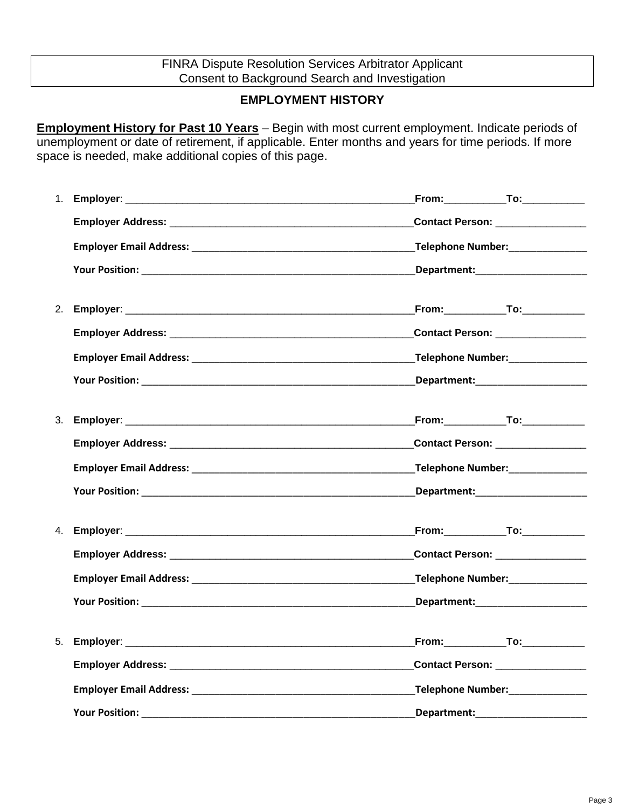## FINRA Dispute Resolution Services Arbitrator Applicant Consent to Background Search and Investigation

## **EMPLOYMENT HISTORY**

**Employment History for Past 10 Years** – Begin with most current employment. Indicate periods of unemployment or date of retirement, if applicable. Enter months and years for time periods. If more space is needed, make additional copies of this page.

|    |             | Contact Person: ________________             |
|----|-------------|----------------------------------------------|
|    |             |                                              |
|    |             |                                              |
|    |             | <b>From:_____________To:__________</b> _     |
|    |             | Contact Person: ________________             |
|    |             |                                              |
|    |             |                                              |
| 3. |             | <u>From:________________To:_____________</u> |
|    |             | Contact Person: _______________              |
|    |             |                                              |
|    |             |                                              |
| 4. |             |                                              |
|    |             | Contact Person: 2008                         |
|    |             | Telephone Number:________________            |
|    |             |                                              |
| 5. |             | <b>From:_____________To:__________</b> _     |
|    |             | Contact Person: ________________             |
|    |             | Telephone Number:________________            |
|    | Department: |                                              |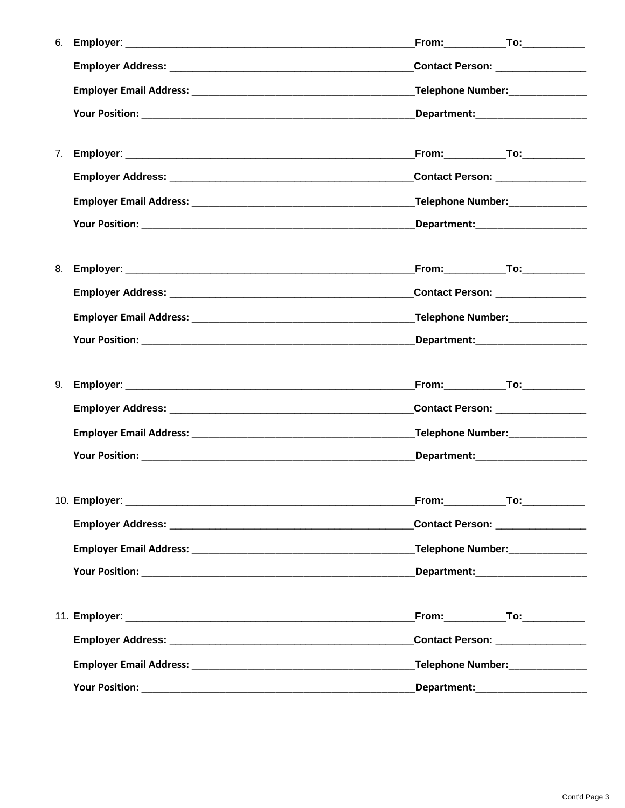| 6. | From:_____________To:____________       |  |
|----|-----------------------------------------|--|
|    | Contact Person: _________________       |  |
|    |                                         |  |
|    |                                         |  |
|    |                                         |  |
|    | <b>From:</b> To: To: 1999               |  |
|    | Contact Person: _________________       |  |
|    |                                         |  |
|    |                                         |  |
|    |                                         |  |
| 8. |                                         |  |
|    | Contact Person: _________________       |  |
|    |                                         |  |
|    |                                         |  |
|    |                                         |  |
|    | <u>From:_____________To:___________</u> |  |
|    | Contact Person: ________________        |  |
|    |                                         |  |
|    |                                         |  |
|    |                                         |  |
|    | From:_____________To:____________       |  |
|    | Contact Person: ________________        |  |
|    |                                         |  |
|    |                                         |  |
|    |                                         |  |
|    | From:_____________To:____________       |  |
|    | Contact Person: _________________       |  |
|    | Telephone Number: _______________       |  |
|    |                                         |  |